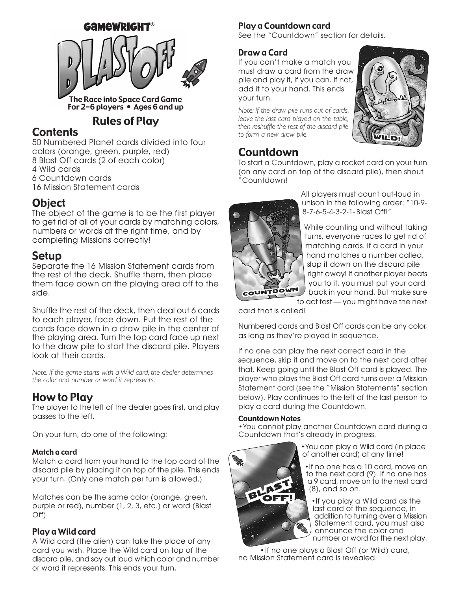

For 2-6 players • Ages 6 and up

# Rules of Play

# **Contents**

50 Numbered Planet cards divided into four colors (orange, green, purple, red) 8 Blast Off cards (2 of each color) 4 Wild cards 6 Countdown cards 16 Mission Statement cards

# **Object**

The object of the game is to be the first player to get rid of all of your cards by matching colors, numbers or words at the right time, and by completing Missions correctly!

## Setup

Separate the 16 Mission Statement cards from the rest of the deck. Shuffle them, then place them face down on the playing area off to the side.

Shuffle the rest of the deck, then deal out 6 cards to each player, face down. Put the rest of the cards face down in a draw pile in the center of the playing area. Turn the top card face up next to the draw pile to start the discard pile. Players look at their cards.

*Note: If the game starts with a Wild card, the dealer determines the color and number or word it represents.*

# How to Play

The player to the left of the dealer goes first, and play passes to the left.

On your turn, do one of the following:

#### Match a card

Match a card from your hand to the top card of the discard pile by placing it on top of the pile. This ends your turn. (Only one match per turn is allowed.)

Matches can be the same color (orange, green, purple or red), number (1, 2, 3, etc.) or word (Blast Off).

### Play a Wild card

A Wild card (the alien) can take the place of any card you wish. Place the Wild card on top of the discard pile, and say out loud which color and number or word it represents. This ends your turn.

### Play a Countdown card

See the "Countdown" section for details.

### Draw a Card

If you can't make a match you must draw a card from the draw pile and play it, if you can. If not, add it to your hand. This ends your turn.

*Note: If the draw pile runs out of cards, leave the last card played on the table, then reshuffle the rest of the discard pile to form a new draw pile.*



# Countdown

To start a Countdown, play a rocket card on your turn (on any card on top of the discard pile), then shout "Countdown!



All players must count out-loud in unison in the following order: "10-9- 8-7-6-5-4-3-2-1-Blast Off!"

While counting and without taking turns, everyone races to get rid of matching cards. If a card in your hand matches a number called, slap it down on the discard pile right away! If another player beats you to it, you must put your card back in your hand. But make sure to act fast — you might have the next

card that is called!

Numbered cards and Blast Off cards can be any color, as long as they're played in sequence.

If no one can play the next correct card in the sequence, skip it and move on to the next card after that. Keep going until the Blast Off card is played. The player who plays the Blast Off card turns over a Mission Statement card (see the "Mission Statements" section below). Play continues to the left of the last person to play a card during the Countdown.

#### Countdown Notes

BLAST

**CONTACT** 

•You cannot play another Countdown card during a Countdown that's already in progress.

> •You can play a Wild card (in place of another card) at any time!

•If no one has a 10 card, move on to the next card (9). If no one has a 9 card, move on to the next card (8), and so on.

•If you play a Wild card as the last card of the sequence, in addition to turning over a Mission Statement card, you must also announce the color and number or word for the next play.

•If no one plays a Blast Off (or Wild) card, no Mission Statement card is revealed.